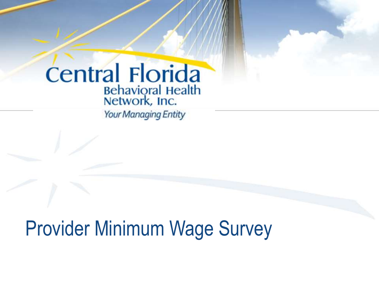# **Central Florida** Behavioral Health<br>Network, Inc.

**Your Managing Entity** 

Provider Minimum Wage Survey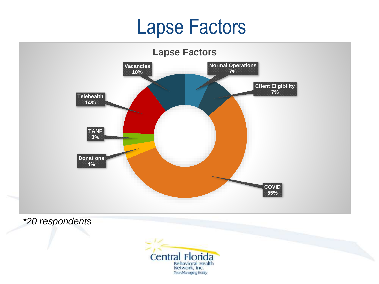### Lapse Factors



*\*20 respondents*

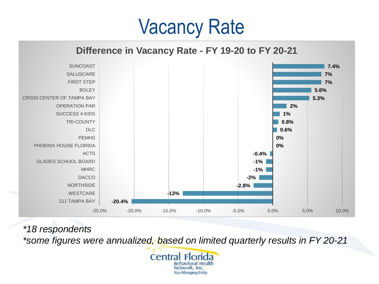### Vacancy Rate

#### **Difference in Vacancy Rate - FY 19-20 to FY 20-21**



*\*18 respondents*

*\*some figures were annualized, based on limited quarterly results in FY 20-21*

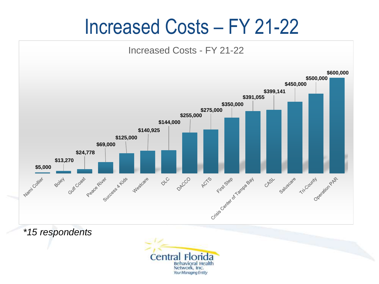### Increased Costs – FY 21-22



*\*15 respondents*